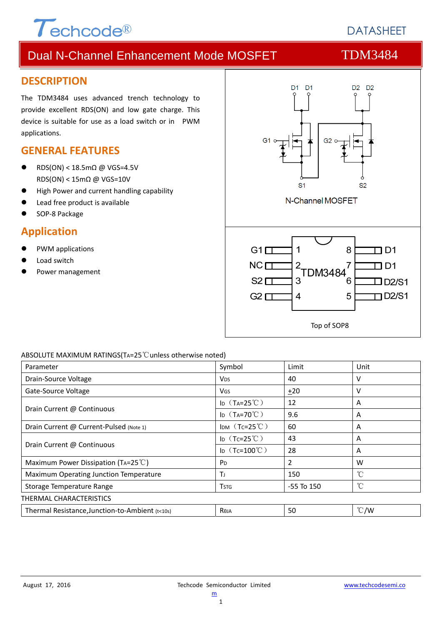

# **DATASHEET**

# Dual N-Channel Enhancement Mode MOSFET TDM3484

### **DESCRIPTION**

The TDM3484 uses advanced trench technology to provide excellent RDS(ON) and low gate charge. This device is suitable for use as a load switch or in PWM applications.

### **GENERAL FEATURES**

- RDS(ON) < 18.5m $\Omega$  @ VGS=4.5V RDS(ON) < 15mΩ @ VGS=10V
- High Power and current handling capability
- Lead free product is available
- SOP‐8 Package

### **Application**

- PWM applications
- Load switch
- Power management



#### ABSOLUTE MAXIMUM RATINGS(TA=25℃unless otherwise noted)

| Parameter                                       | Symbol                  | Limit          | Unit          |  |  |
|-------------------------------------------------|-------------------------|----------------|---------------|--|--|
| Drain-Source Voltage                            | <b>V<sub>DS</sub></b>   | 40             | ν             |  |  |
| Gate-Source Voltage                             | VGS                     | $+20$          | v             |  |  |
|                                                 | ID $(T_A=25^{\circ}C)$  | 12             | A             |  |  |
| Drain Current @ Continuous                      | ID $(T_A=70^{\circ}C)$  | 9.6            | A             |  |  |
| Drain Current @ Current-Pulsed (Note 1)         | IDM $(Tc=25^{\circ}C)$  | 60             | A             |  |  |
|                                                 | ID $(Tc=25^{\circ}C)$   | 43             | A             |  |  |
| Drain Current @ Continuous                      | ID $(Tc=100^{\circ}C)$  | 28             | A             |  |  |
| Maximum Power Dissipation (TA=25 $^{\circ}$ C)  | P <sub>D</sub>          | $\overline{2}$ | W             |  |  |
| Maximum Operating Junction Temperature          | ΤJ                      | 150            | °C            |  |  |
| Storage Temperature Range                       | <b>T</b> <sub>STG</sub> | $-55$ To $150$ | $^{\circ}C$   |  |  |
| <b>THERMAL CHARACTERISTICS</b>                  |                         |                |               |  |  |
| Thermal Resistance, Junction-to-Ambient (t<10s) | Reja                    | 50             | $\degree$ C/W |  |  |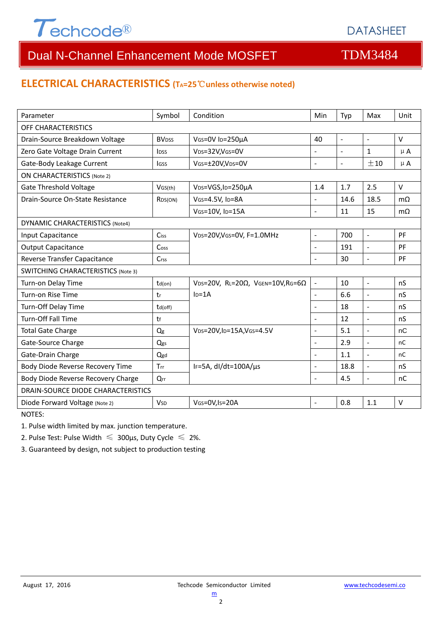

### **ELECTRICAL CHARACTERISTICS (TA=25**℃**unless otherwise noted)**

| Parameter                                 | Symbol                  | Condition                                            | Min                      | Typ                      | Max                      | Unit      |  |  |  |
|-------------------------------------------|-------------------------|------------------------------------------------------|--------------------------|--------------------------|--------------------------|-----------|--|--|--|
| OFF CHARACTERISTICS                       |                         |                                                      |                          |                          |                          |           |  |  |  |
| Drain-Source Breakdown Voltage            | <b>BV<sub>DSS</sub></b> | VGS=0V ID=250µA<br>40                                |                          | $\overline{\phantom{a}}$ | $\overline{\phantom{a}}$ | $\vee$    |  |  |  |
| Zero Gate Voltage Drain Current           | <b>l</b> <sub>DSS</sub> | VDS=32V,VGS=0V                                       |                          |                          | $\mathbf{1}$             | $\mu$ A   |  |  |  |
| Gate-Body Leakage Current                 | <b>IGSS</b>             | VGS=±20V,VDS=0V                                      | $\overline{a}$           | $\blacksquare$           | ±10                      | $\mu$ A   |  |  |  |
| <b>ON CHARACTERISTICS (Note 2)</b>        |                         |                                                      |                          |                          |                          |           |  |  |  |
| <b>Gate Threshold Voltage</b>             | VGS(th)                 | V <sub>DS</sub> =VGS, I <sub>D</sub> =250µA          | 1.4                      | 1.7                      | 2.5                      | $\vee$    |  |  |  |
| Drain-Source On-State Resistance          | R <sub>DS</sub> (ON)    | VGS=4.5V, ID=8A                                      | $\overline{a}$           | 14.6                     | 18.5                     | $m\Omega$ |  |  |  |
|                                           |                         | VGS=10V, ID=15A                                      | $\overline{a}$           | 11                       | 15                       | $m\Omega$ |  |  |  |
| <b>DYNAMIC CHARACTERISTICS (Note4)</b>    |                         |                                                      |                          |                          |                          |           |  |  |  |
| Input Capacitance                         | Ciss                    | VDS=20V, VGS=0V, F=1.0MHz                            | $\overline{\phantom{a}}$ | 700                      | $\overline{\phantom{a}}$ | PF        |  |  |  |
| <b>Output Capacitance</b>                 | Coss                    |                                                      | $\overline{\phantom{a}}$ | 191                      | $\mathbb{L}$             | PF        |  |  |  |
| Reverse Transfer Capacitance              | Crss                    |                                                      | $\overline{a}$           | 30                       | $\blacksquare$           | PF        |  |  |  |
| <b>SWITCHING CHARACTERISTICS (Note 3)</b> |                         |                                                      |                          |                          |                          |           |  |  |  |
| Turn-on Delay Time                        | $td($ on $)$            | $VDS=20V$ , RL=20 $\Omega$ , VGEN=10V, RG=6 $\Omega$ | $\blacksquare$           | 10                       | $\Box$                   | nS        |  |  |  |
| Turn-on Rise Time                         | tr                      | $ID=1A$                                              | $\overline{\phantom{a}}$ | 6.6                      | $\blacksquare$           | nS        |  |  |  |
| Turn-Off Delay Time                       | td(off)                 |                                                      |                          | 18                       | $\overline{a}$           | nS        |  |  |  |
| Turn-Off Fall Time                        | tf                      |                                                      | L.                       | 12                       | $\overline{a}$           | nS        |  |  |  |
| <b>Total Gate Charge</b>                  | $Q_g$                   | VDS=20V,ID=15A,VGS=4.5V                              |                          | 5.1                      |                          | nC        |  |  |  |
| Gate-Source Charge                        | Qgs                     |                                                      | $\blacksquare$           | 2.9                      | $\overline{a}$           | nC        |  |  |  |
| Gate-Drain Charge                         | Qgd                     |                                                      | L.                       | 1.1                      | $\overline{a}$           | nC        |  |  |  |
| Body Diode Reverse Recovery Time          | Trr                     | IF=5A, $dI/dt=100A/\mu s$                            |                          | 18.8                     | $\overline{a}$           | nS        |  |  |  |
| Body Diode Reverse Recovery Charge        | Qrr                     |                                                      |                          | 4.5                      | $\overline{a}$           | nC        |  |  |  |
| DRAIN-SOURCE DIODE CHARACTERISTICS        |                         |                                                      |                          |                          |                          |           |  |  |  |
| Diode Forward Voltage (Note 2)            | <b>V<sub>SD</sub></b>   | VGS=0V, Is=20A                                       | L.                       | 0.8                      | 1.1                      | $\vee$    |  |  |  |

NOTES:

1. Pulse width limited by max. junction temperature.

2. Pulse Test: Pulse Width  $\leq 300$ μs, Duty Cycle  $\leq 2\%$ .

3. Guaranteed by design, not subject to production testing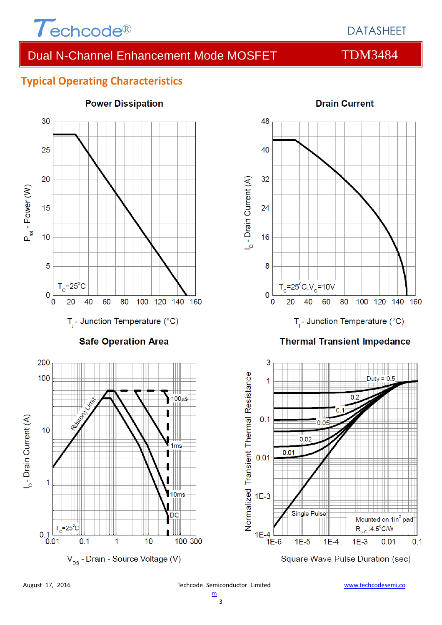

### **Typical Operating Characteristics**



#### **Power Dissipation**



### **Thermal Transient Impedance**



#### **Drain Current**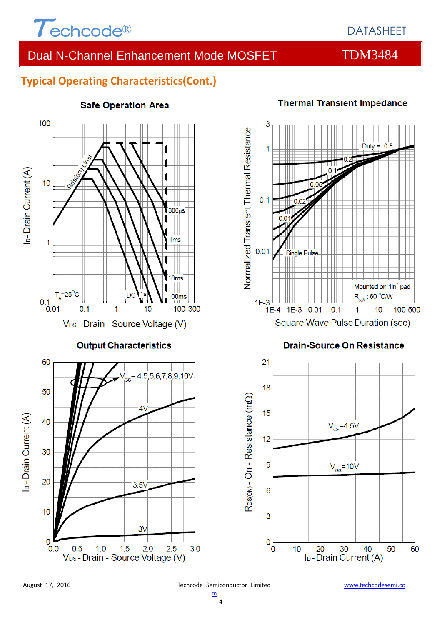

# **Typical Operating Characteristics(Cont.)**



#### **Safe Operation Area**



Square Wave Pulse Duration (sec)

### **Drain-Source On Resistance**



### **Thermal Transient Impedance**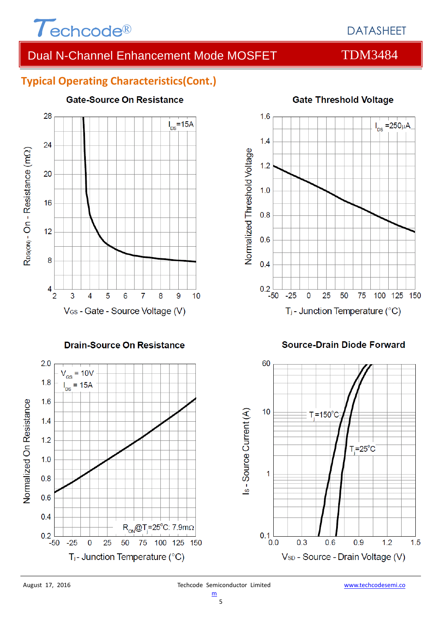

# DATASHEET

# Dual N-Channel Enhancement Mode MOSFET TDM3484

# **Typical Operating Characteristics(Cont.)**



#### **Drain-Source On Resistance**





#### **Source-Drain Diode Forward**

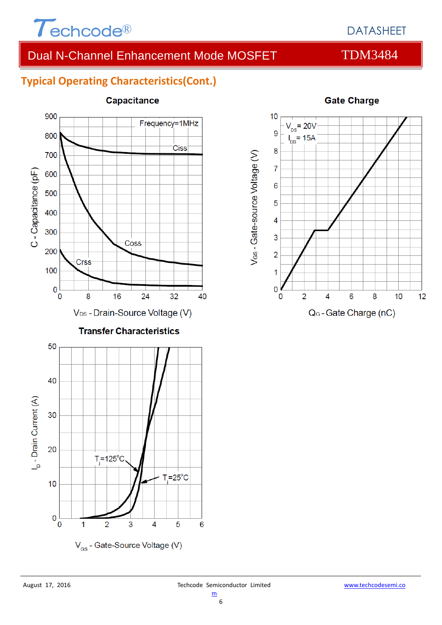

# DATASHEET

# Dual N-Channel Enhancement Mode MOSFET TDM3484

# **Typical Operating Characteristics(Cont.)**



#### Capacitance

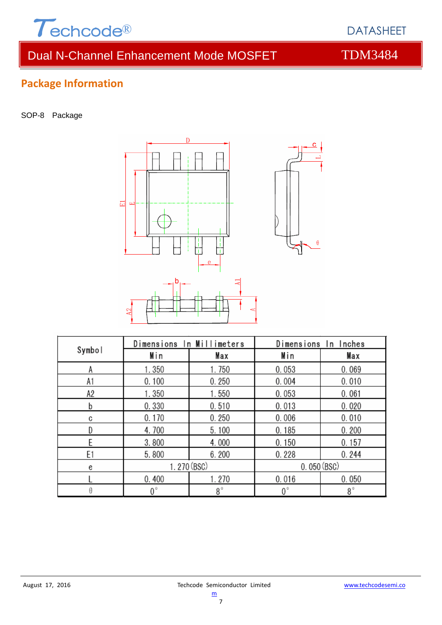

# **Package Information**

SOP-8 Package



| Symbol         | Dimensions In Millimeters |       | Dimensions In Inches |       |  |
|----------------|---------------------------|-------|----------------------|-------|--|
|                | Min                       | Max   | Min                  | Max   |  |
| A              | 1.350                     | 1.750 | 0.053                | 0.069 |  |
| A1             | 0.100                     | 0.250 | 0.004                | 0.010 |  |
| A2             | 1.350                     | 1.550 | 0.053                | 0.061 |  |
| b              | 0.330                     | 0.510 | 0.013                | 0.020 |  |
| C              | 0.170                     | 0.250 | 0.006                | 0.010 |  |
|                | 4.700                     | 5.100 | 0.185                | 0.200 |  |
| F              | 3.800                     | 4.000 | 0.150                | 0.157 |  |
| E <sub>1</sub> | 5.800                     | 6.200 | 0.228                | 0.244 |  |
| e              | 1.270 (BSC)               |       | 0.050(BSC)           |       |  |
|                | 0.400                     | 1.270 | 0.016                | 0.050 |  |
|                | 0°                        | 8°    | $0^{\circ}$          | 8°    |  |

7

c

 $\boldsymbol{\theta}$ 

DATASHEET